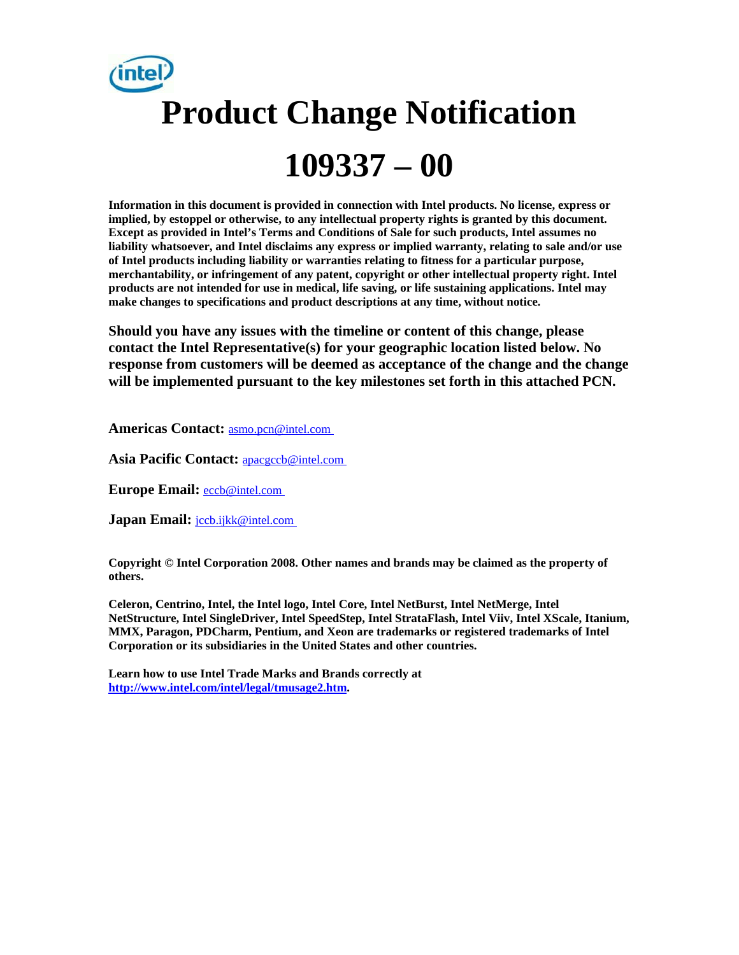

**Information in this document is provided in connection with Intel products. No license, express or implied, by estoppel or otherwise, to any intellectual property rights is granted by this document. Except as provided in Intel's Terms and Conditions of Sale for such products, Intel assumes no liability whatsoever, and Intel disclaims any express or implied warranty, relating to sale and/or use of Intel products including liability or warranties relating to fitness for a particular purpose, merchantability, or infringement of any patent, copyright or other intellectual property right. Intel products are not intended for use in medical, life saving, or life sustaining applications. Intel may make changes to specifications and product descriptions at any time, without notice.** 

**Should you have any issues with the timeline or content of this change, please contact the Intel Representative(s) for your geographic location listed below. No response from customers will be deemed as acceptance of the change and the change will be implemented pursuant to the key milestones set forth in this attached PCN.** 

**Americas Contact:** asmo.pcn@intel.com

**Asia Pacific Contact:** apacgccb@intel.com

**Europe Email:** eccb@intel.com

**Japan Email:** *jccb.ijkk@intel.com* 

**Copyright © Intel Corporation 2008. Other names and brands may be claimed as the property of others.**

**Celeron, Centrino, Intel, the Intel logo, Intel Core, Intel NetBurst, Intel NetMerge, Intel NetStructure, Intel SingleDriver, Intel SpeedStep, Intel StrataFlash, Intel Viiv, Intel XScale, Itanium, MMX, Paragon, PDCharm, Pentium, and Xeon are trademarks or registered trademarks of Intel Corporation or its subsidiaries in the United States and other countries.** 

**Learn how to use Intel Trade Marks and Brands correctly at http://www.intel.com/intel/legal/tmusage2.htm.**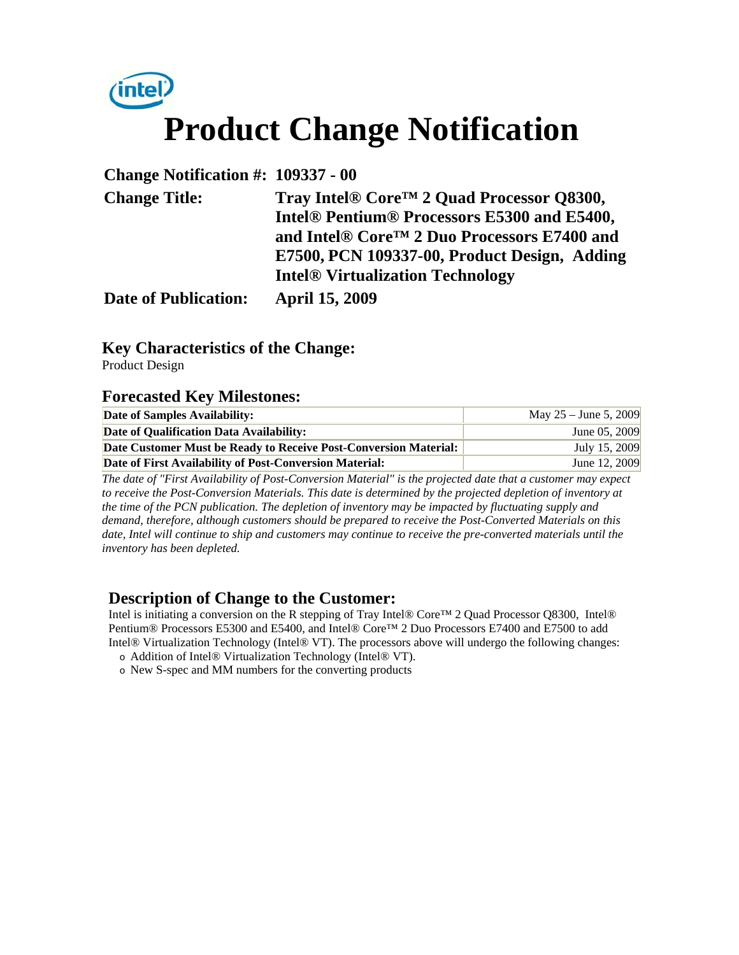

**Change Notification #: 109337 - 00** 

| <b>Change Title:</b>        | Tray Intel® Core <sup>™</sup> 2 Quad Processor Q8300,               |  |  |  |  |
|-----------------------------|---------------------------------------------------------------------|--|--|--|--|
|                             | Intel <sup>®</sup> Pentium <sup>®</sup> Processors E5300 and E5400, |  |  |  |  |
|                             | and Intel® Core <sup>TM</sup> 2 Duo Processors E7400 and            |  |  |  |  |
|                             | E7500, PCN 109337-00, Product Design, Adding                        |  |  |  |  |
|                             | <b>Intel<sup>®</sup></b> Virtualization Technology                  |  |  |  |  |
| <b>Date of Publication:</b> | <b>April 15, 2009</b>                                               |  |  |  |  |

### **Key Characteristics of the Change:**

Product Design

#### **Forecasted Key Milestones:**

| Date of Samples Availability:                                    | May $25 -$ June 5, 2009 |
|------------------------------------------------------------------|-------------------------|
| Date of Qualification Data Availability:                         | June 05, 2009           |
| Date Customer Must be Ready to Receive Post-Conversion Material: | July 15, 2009           |
| Date of First Availability of Post-Conversion Material:          | June 12, 2009           |

*The date of "First Availability of Post-Conversion Material" is the projected date that a customer may expect to receive the Post-Conversion Materials. This date is determined by the projected depletion of inventory at the time of the PCN publication. The depletion of inventory may be impacted by fluctuating supply and demand, therefore, although customers should be prepared to receive the Post-Converted Materials on this date, Intel will continue to ship and customers may continue to receive the pre-converted materials until the inventory has been depleted.*

### **Description of Change to the Customer:**

Intel is initiating a conversion on the R stepping of Tray Intel® Core™ 2 Quad Processor Q8300, Intel® Pentium® Processors E5300 and E5400, and Intel® Core™ 2 Duo Processors E7400 and E7500 to add Intel® Virtualization Technology (Intel® VT). The processors above will undergo the following changes:

- o Addition of Intel® Virtualization Technology (Intel® VT).
- o New S-spec and MM numbers for the converting products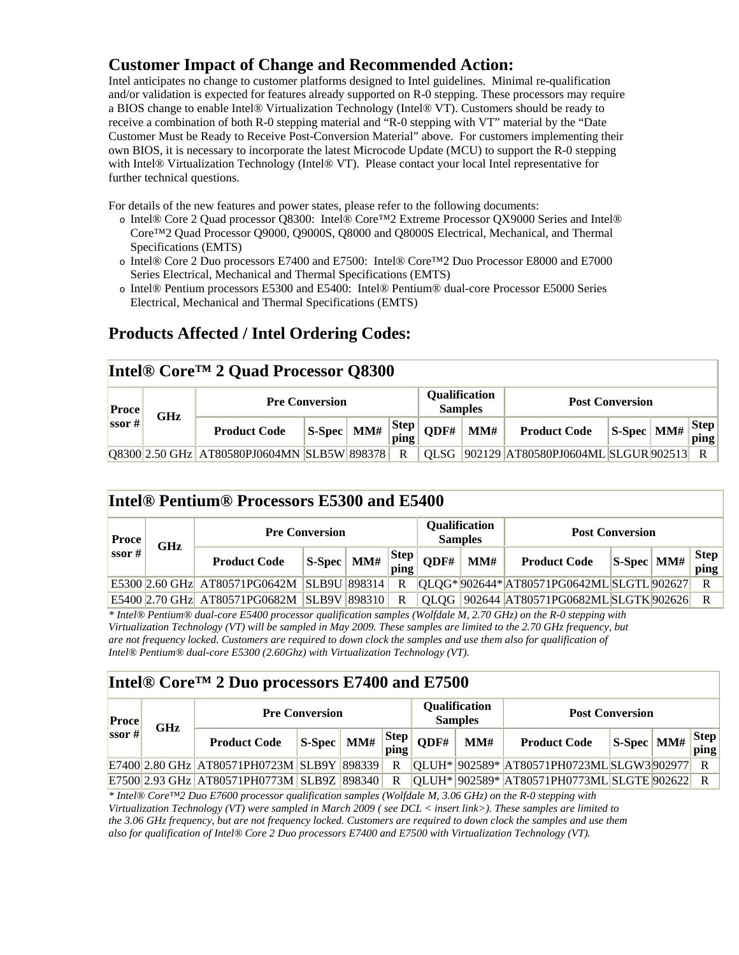## **Customer Impact of Change and Recommended Action:**

Intel anticipates no change to customer platforms designed to Intel guidelines. Minimal re-qualification and/or validation is expected for features already supported on R-0 stepping. These processors may require a BIOS change to enable Intel® Virtualization Technology (Intel® VT). Customers should be ready to receive a combination of both R-0 stepping material and "R-0 stepping with VT" material by the "Date Customer Must be Ready to Receive Post-Conversion Material" above. For customers implementing their own BIOS, it is necessary to incorporate the latest Microcode Update (MCU) to support the R-0 stepping with Intel® Virtualization Technology (Intel® VT). Please contact your local Intel representative for further technical questions.

For details of the new features and power states, please refer to the following documents:

- o Intel® Core 2 Quad processor Q8300: Intel® Core™2 Extreme Processor QX9000 Series and Intel® Core™2 Quad Processor Q9000, Q9000S, Q8000 and Q8000S Electrical, Mechanical, and Thermal Specifications (EMTS)
- o Intel® Core 2 Duo processors E7400 and E7500: Intel® Core™2 Duo Processor E8000 and E7000 Series Electrical, Mechanical and Thermal Specifications (EMTS)
- o Intel® Pentium processors E5300 and E5400: Intel® Pentium® dual-core Processor E5000 Series Electrical, Mechanical and Thermal Specifications (EMTS)

## **Products Affected / Intel Ordering Codes:**

#### **Intel® Core™ 2 Quad Processor Q8300 Pre Conversion Qualification Pre Conversion Proce CILE PROPERTY POST CONVERSION** Proce **Proce Post Conversion**  $\begin{array}{c|c}\n\textbf{Proce} & \textbf{GHz} \\
\textbf{ssor} \# \end{array}$ **Product Code** S-Spec MM#  $\begin{array}{c} |S\text{-}Spec \mid M \text{ and } |S\text{-}Spec \mid \text{)} \end{array}$  $\text{QDF#}$  **MM# Product Code** S-Spec MM#  $\left|\text{Step}\right|$ **ping** Q8300 2.50 GHz AT80580PJ0604MN SLB5W 898378 R QLSG 902129 AT80580PJ0604ML SLGUR 902513 R

#### **Intel® Pentium® Processors E5300 and E5400**

| <b>Proce</b><br>ssor #<br><b>GHz</b> |  | <b>Pre Conversion</b>                          |                    |  |                                                         | Qualification<br><b>Samples</b> |     | <b>Post Conversion</b>                         |                |  |                         |
|--------------------------------------|--|------------------------------------------------|--------------------|--|---------------------------------------------------------|---------------------------------|-----|------------------------------------------------|----------------|--|-------------------------|
|                                      |  | <b>Product Code</b>                            | $ S-Spec $ MM# $ $ |  | $\begin{array}{c c}\nStep \\ \hline\nping\n\end{array}$ | ODF#                            | MM# | <b>Product Code</b>                            | $ S-Spec $ MM# |  | Step<br>$\mathbf{ping}$ |
|                                      |  | E5300 2.60 GHz AT80571PG0642M   SLB9U   898314 |                    |  | $\mathbb{R}$                                            |                                 |     | $[QLQG* 902644* AT80571PG0642ML SLGTL 902627]$ |                |  |                         |
|                                      |  | E5400 2.70 GHz AT80571PG0682M SLB9V 898310 R   |                    |  |                                                         |                                 |     | QLQG  902644  AT80571PG0682ML SLGTK  902626    |                |  | $\mathbf{R}$            |

*\* Intel® Pentium® dual-core E5400 processor qualification samples (Wolfdale M, 2.70 GHz) on the R-0 stepping with Virtualization Technology (VT) will be sampled in May 2009. These samples are limited to the 2.70 GHz frequency, but are not frequency locked. Customers are required to down clock the samples and use them also for qualification of Intel® Pentium® dual-core E5300 (2.60Ghz) with Virtualization Technology (VT).* 

### **Intel® Core™ 2 Duo processors E7400 and E7500**

| <b>Proce</b><br>ssor # | <b>GHz</b> | <b>Pre Conversion</b>                      |  |  |   | Qualification<br><b>Samples</b>                                                                                 |     | <b>Post Conversion</b>                             |                                    |  |                      |
|------------------------|------------|--------------------------------------------|--|--|---|-----------------------------------------------------------------------------------------------------------------|-----|----------------------------------------------------|------------------------------------|--|----------------------|
|                        |            | <b>Product Code</b>                        |  |  |   | $\begin{array}{c c c c c} & \text{S-Spec} & \text{MM\#} & \text{Step} & \text{QDF\#} & \text{-} \\ \end{array}$ | MM# | <b>Product Code</b>                                | $\vert$ S-Spec $\vert$ MM# $\vert$ |  | $Step \vert$<br>ping |
|                        |            | E7400 2.80 GHz AT80571PH0723M SLB9Y 898339 |  |  | R |                                                                                                                 |     | $ QLUH^* 902589^* AT80571PH0723ML SLGW3 902977 $   |                                    |  | R                    |
|                        |            | E7500 2.93 GHz AT80571PH0773M SLB9Z 898340 |  |  | R |                                                                                                                 |     | $ QLUH^* 902589^* AT80571PH0773ML SLGTE 902622  R$ |                                    |  |                      |

*\* Intel® Core™2 Duo E7600 processor qualification samples (Wolfdale M, 3.06 GHz) on the R-0 stepping with Virtualization Technology (VT) were sampled in March 2009 ( see DCL < insert link>). These samples are limited to the 3.06 GHz frequency, but are not frequency locked. Customers are required to down clock the samples and use them also for qualification of Intel® Core 2 Duo processors E7400 and E7500 with Virtualization Technology (VT).*